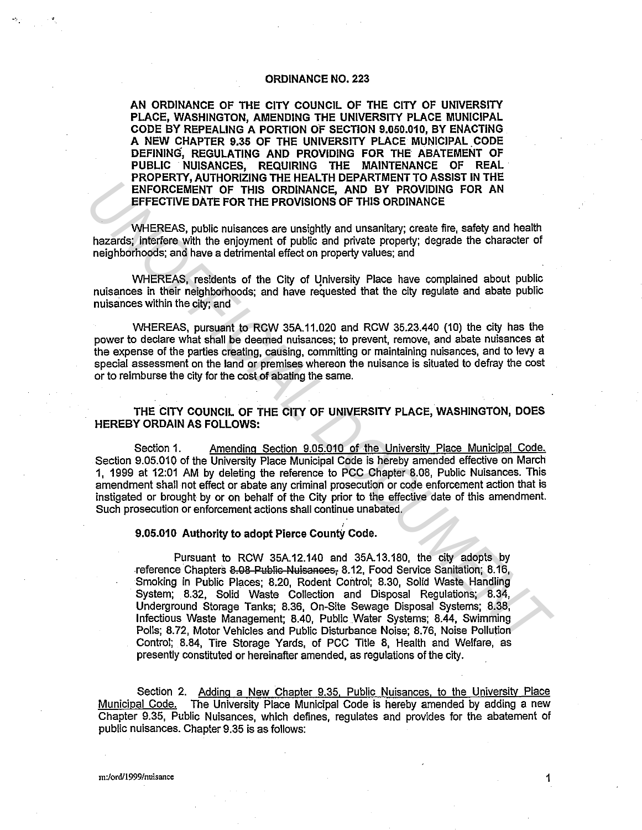### ORDINANCE NO. 223

AN ORDINANCE OF THE CITY COUNCIL OF THE CITY OF UNIVERSITY PLACE, WASHINGTON, AMENDING THE UNIVERSITY PLACE MUNICIPAL CODE BY REPEALING A PORTION OF SECTION 9.050.010, BY ENACTING A NEW CHAPTER 9.35 OF THE UNIVERSITY PLACE MUNICIPAL CODE DEFINING, REGULATING AND PROVIDING FOR THE ABATEMENT OF PUBLIC NUISANCES, REQUIRING THE MAINTENANCE OF REAL PROPERTY, AUTHORIZING THE HEALTH DEPARTMENT TO ASSIST IN THE ENFORCEMENT OF THIS ORDINANCE, AND BY PROVIDING FOR AN EFFECTIVE DATE FOR THE PROVISIONS OF THIS ORDINANCE

WHEREAS, public nuisances are unsightly and unsanitary; create fire, safety and health hazards; interfere with the enjoyment of public and private property; degrade the character of neighborhoods; and have a detrimental effect on property values; and

WHEREAS, residents of the City of University Place have complained about public nuisances in their neighborhoods; and have requested that the city regulate and abate public nuisances within the city; and

WHEREAS, pursuant to RCW 35A.11.020 and RCW 35.23.440 (10) the city has the power to declare what shall be deemed nuisances; to prevent, remove, and abate nuisances at the expense of the parties creating, causing, committing or maintaining nuisances, and to levy a special assessment on the land or premises whereon the nuisance is situated to defray the cost or to reimburse the city for the cost of abating the same.

THE CITY COUNCIL OF THE CITY OF UNIVERSITY PLACE, WASHINGTON, DOES HEREBY ORDAIN AS FOLLOWS:

Section 1. Amending Section 9.05.010 of the University Place Municipal Code. Section 9.05.010 of the University Place Municipal Code is hereby amended effective on March 1, 1999 at 12:01 AM by deleting the reference to PCC Chapter 8.08, Public Nuisances. This amendment shall not effect or abate any criminal prosecution or code enforcement action that is instigated or brought by or on behalf of the City prior to the effective date of this amendment. Such prosecution or enforcement actions shall continue unabated.

# ' 9.05.010 Authority to adopt Pierce Counfy Code.

Pursuant to RCW 35A.12.140 and 35A.13.180, the city adopts by reference Chapters 8.08 Public Nuisances, 8.12, Food Service Sanitation; 8.16, Smoking in Public Places; 8.20, Rodent Control; 8.30, Solid Waste Handling System; 8.32, Solid Waste Collection and Disposal Regulations; 8.34, Underground Storage Tanks; 8.36, On-Site Sewage Disposal Systems; 8.38, Infectious Waste Management; 8.40, Public Water Systems; 8.44, Swimming Polls; 8.72, Motor Vehicles and Public Disturbance Noise; 8.76, Noise Pollution Control; 8.84, Tire Storage Yards, of PCC Title 8, Health and Welfare, as presently constituted or hereinafter amended, as regulations of the city. **ENFORCEMENT OF THIS ORDINANCE, AND BY PROVIDING FOR AN<br>
<b>EFFECTIVE DATE FOR THE PROVISIONS OF THIS ORDINANCE**<br> **UNITEENTS DATE FOR THE PROVISIONS OF THIS ORDINANCE**<br> **UNITEENTS DATE FOR THE PROVISIONS OF THIS ORDINANCE**<br>

Section 2. Adding a New Chapter 9.35, Public Nuisances. to the University Place Municipal Code. The University Place Municipal Code is hereby amended by adding a new Chapter 9.35, Public Nuisances, which defines, regulates and provides for the abatement of public nuisances. Chapter 9.35 is as follows: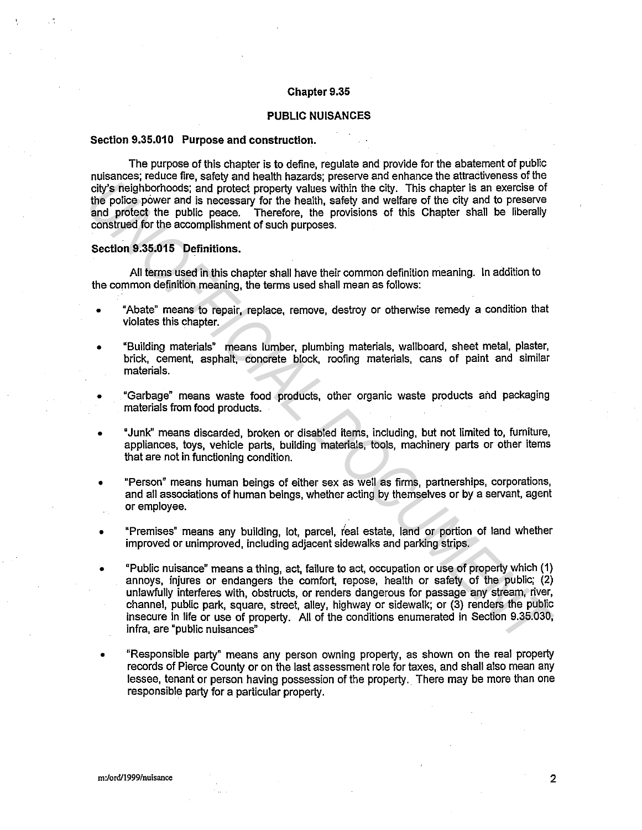### Chapter 9.35

## PUBLIC NUISANCES

#### Section 9.35.010 Purpose and construction.

The purpose of this chapter is to define, regulate and provide for the abatement of public nuisances; reduce fire, safety and health hazards; preserve and enhance the attractiveness of the city's neighborhoods; and protect property values within the city. This chapter is an exercise of the police power and is necessary for the health, safety and welfare of the city and to preserve and protect the public peace. Therefore, the provisions of this Chapter shall be liberally construed for the accomplishment of such purposes.

Section 9.35.015 Definitions.

All terms used in this chapter shall have their common definition meaning. In addition to the common definition meaning, the terms used shall mean as follows:

- "Abate" means to repair, replace, remove, destroy or otherwise remedy a condition that violates this chapter.
- "Building materials" means lumber, plumbing materials, wallboard, sheet metal, plaster, brick, cement, asphalt, concrete block, roofing materials, cans of paint and similar materials.
- "Garbage" means waste food products, other organic waste products and packaging materials from food products.
- •Junk" means discarded, broken or disabled items, including, but not limited to, furniture, appliances, toys, vehicle parts, building materials, tools, machinery parts or other items that are not in functioning condition.
- "Person" means human beings of either sex as well as firms, partnerships, corporations, and all associations of human beings, whether acting by themselves or by a servant, agent or employee.
- "Premises" means any building, lot, parcel, ieal estate, land or portion of land whether improved or unimproved, including adjacent sidewalks and parking strips.
- "Public nuisance" means a thing, act, failure to act, occupation or use of property which (1) annoys, injures or endangers the comfort, repose, health or safety of the public; (2) unlawfully interferes with, obstructs, or renders dangerous for passage any stream, river, channel, public park, square, street, alley, highway or sidewalk; or (3) renders the public insecure in life or use of property. All of the conditions enumerated in Section 9.35.030, infra, are "public nuisances" Chys nelabiomhoosis: and princed procenty values within the city. This chapter based the proline profile profile profile profile profile profile profile profile profile profile profile profile and processor for the health,
	- "Responsible party" means any person owning property, as shown on the real property records of Pierce County or on the last assessment role for taxes, and shall also mean any lessee, tenant or person having possession of the property. There may be more than one responsible party for a particular property.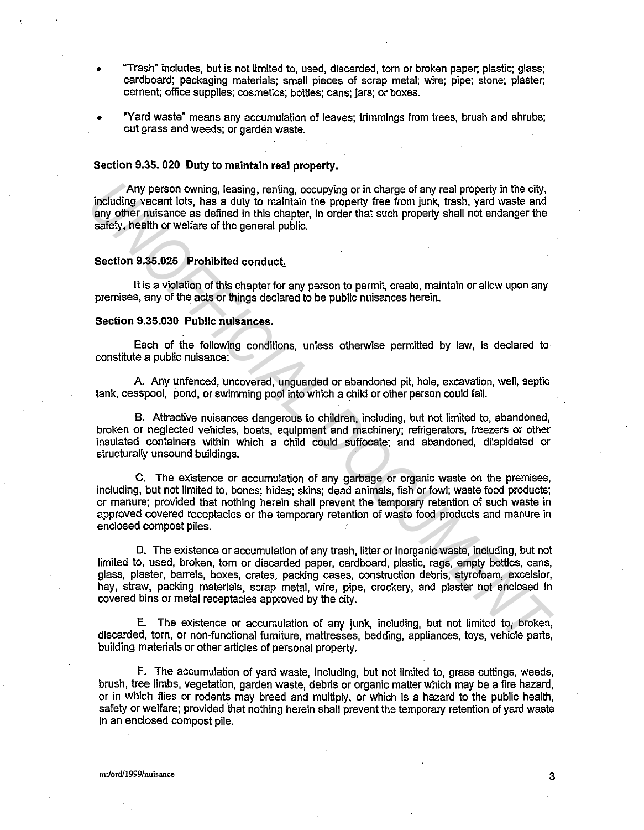- "Trash" includes, but is not limited to, used, discarded, torn or broken paper; plastic; glass; cardboard; packaging materials; small pieces of scrap metal; wire; pipe; stone; plaster; cement; office supplies; cosmetics; bottles; cans; jars; or boxes.
- "Yard waste" means any accumulation of leaves; trimmings from trees, brush and shrubs; cut grass and weeds; or garden waste.

### Section 9.35. 020 Duty to maintain real property.

Any person owning, leasing, renting, occupying or in charge of any real property in the city, including vacant lots, has a duty to maintain the property free from junk, trash, yard waste and any other nuisance as defined in this chapter, in order that such property shall not endanger the safety, health or welfare of the general public.

#### Section 9.35.025 Prohibited conduct.

It is a violation of this chapter for any person to permit, create, maintain or allow upon any premises, any of the acts or things declared to be public nuisances herein.

## Section 9.35.030 Public nuisances.

Each of the following conditions, unless otherwise permitted by law, is declared to constitute a public nuisance:

A. Any unfenced, uncovered, unguarded or abandoned pit, hole, excavation, well, septic tank, cesspool, pond, or swimming pool into which a child or other person could fall.

B. Attractive nuisances dangerous to children, including, but not limited to, abandoned, broken or neglected vehicles, boats, equipment and machinery; refrigerators, freezers or other insulated containers within which a child could suffocate; and abandoned, dilapidated or structurally unsound buildings.

C. The existence or accumulation of any garbage or organic waste on the premises, including, but not limited to, bones; hides; skins; dead animals, fish or fowl; waste food products; or manure; provided that nothing herein shall prevent the temporary retention of such waste in approved covered receptacles or the temporary retention of waste food products and manure in enclosed compost piles.

D. The existence or accumulation of any trash, litter or inorganic waste, including, but not limited to, used, broken, torn or discarded paper, cardboard, plastic, rags, empty bottles, cans, glass, plaster, barrels, boxes, crates, packing cases, construction debris, styrofoam, excelsior, hay, straw, packing materials, scrap metal, wire, pipe, crockery, and plaster not enclosed in covered bins or metal receptacles approved by the city. Any person owining, leasing, renting occupying or in charge of any real property the eithy, and any other nuisance as defined in this chapter, in order that such property shall not endanger the safely, health or welfare of

E. The existence or accumulation of any junk, including, but not limited to; broken, discarded, torn, or non-functional furniture, mattresses, bedding, appliances, toys, vehicle parts, building materials or other articles of personal property.

F. The accumulation of yard waste, including, but not limited to, grass cuttings, weeds, brush, tree limbs, vegetation, garden waste, debris or organic matter which may be a fire hazard, or in which flies or rodents may breed and multiply, or which is a hazard to the public health, safety or welfare; provided that nothing herein shall prevent the temporary retention of yard waste in an enclosed compost pile.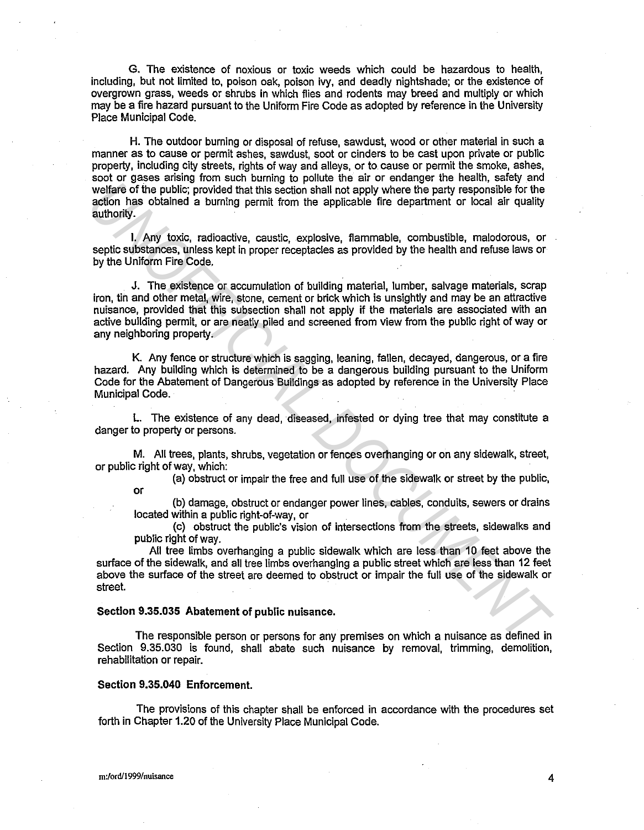G. The existence of noxious or toxic weeds which could be hazardous to health, including, but not limited to, poison oak, poison ivy, and deadly nightshade; or the existence of overgrown grass, weeds or shrubs in which flies and rodents may breed and multiply or which may be a fire hazard pursuant to the Uniform Fire Code as adopted by reference in the University Place Municipal Code.

H. The outdoor burning or disposal of refuse, sawdust, wood or other material in such a manner as to cause or permit ashes, sawdust, soot or cinders to be cast upon private or public property, including city streets, rights of way and alleys, or to cause or permit the smoke, ashes, soot or gases arising from such burning to pollute the air or endanger the health, safety and welfare of the public; provided that this section shall not apply where the party responsible for the action has obtained a burning permit from the applicable fire department or local air quality authority.

I. Any toxic, radioactive, caustic, explosive, flammable, combustible, malodorous, or septic substances, unless kept in proper receptacles as provided by the health and refuse laws or by the Uniform Fire Code.

J. The existence or accumulation of building material, lumber, salvage materials, scrap iron, tih and other metal, wire, stone, cement or brick which is unsightly and may be an attractive nuisance, provided that this subsection shall not apply if the materials are associated with an active building permit, or are neatly piled and screened from view from the public right of way or any neighboring property. where the public provided that this eaction shall not apply where the party responsible for the<br>authority.<br>The party of the public provided that this eaction shall not apply where the party responsible for the<br>authority.<br>T

K. Any fence or structure which is sagging, leaning, fallen, decayed, dangerous, or a fire hazard. Any building which is determined to be a dangerous building pursuant to the Uniform Code for the Abatement of Dangerous Buildings as adopted by reference in the University Place Municipal Code.

L. The existence of any dead, diseased, infested or dying tree that may constitute a danger to property or persons.

M. All trees, plants, shrubs, vegetation or fences overhanging or on any sidewalk, street, or public right of way, which:

(a) obstruct or impair the free and full use of the sidewalk or street by the public,

or

(b) damage, obstruct or endanger power lines, cables, conduits, sewers or drains located within a public right-of-way, or

(c) obstruct the public's vision of intersections from the streets, sidewalks and public right of way.

All tree limbs overhanging a public sidewalk which are less than 10 feet above the surface of the sidewalk, and all tree limbs overhanging a public street which are less than 12 feet above the surface of the street are deemed to obstruct or impair the full use of the sidewalk or street.

# Section 9.35.035 Abatement of public nuisance.

The responsible person or persons for any premises on which a nuisance as defined in Section 9.35.030 is found, shall abate such nuisance by removal, trimming, demolition, rehabilitation or repair.

#### Section 9.35.040 Enforcement.

The provisions of this chapter shall be enforced in accordance with the procedures set forth in Chapter 1.20 of the University Place Municipal Code.